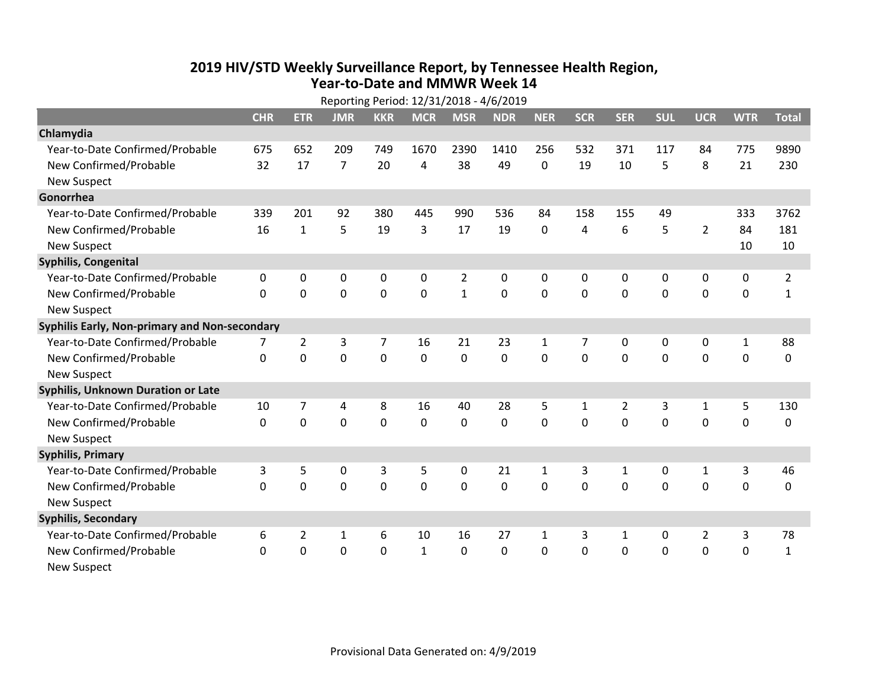## **2019 HIV /STD Weekly Surveillance Report, by Tennessee Health Region, Year‐to‐Date and MMWR Week 14** Reporting Period: 12/31/2018 ‐ 4/6/2019

|                                               | Reporting Period: 12/31/2018 - 4/6/2019 |                |                |                |              |                |            |              |              |             |              |                |              |                |
|-----------------------------------------------|-----------------------------------------|----------------|----------------|----------------|--------------|----------------|------------|--------------|--------------|-------------|--------------|----------------|--------------|----------------|
|                                               | <b>CHR</b>                              | <b>ETR</b>     | <b>JMR</b>     | <b>KKR</b>     | <b>MCR</b>   | <b>MSR</b>     | <b>NDR</b> | <b>NER</b>   | <b>SCR</b>   | <b>SER</b>  | <b>SUL</b>   | <b>UCR</b>     | <b>WTR</b>   | <b>Total</b>   |
| Chlamydia                                     |                                         |                |                |                |              |                |            |              |              |             |              |                |              |                |
| Year-to-Date Confirmed/Probable               | 675                                     | 652            | 209            | 749            | 1670         | 2390           | 1410       | 256          | 532          | 371         | 117          | 84             | 775          | 9890           |
| New Confirmed/Probable                        | 32                                      | 17             | $\overline{7}$ | 20             | 4            | 38             | 49         | $\mathbf 0$  | 19           | 10          | 5            | 8              | 21           | 230            |
| <b>New Suspect</b>                            |                                         |                |                |                |              |                |            |              |              |             |              |                |              |                |
| Gonorrhea                                     |                                         |                |                |                |              |                |            |              |              |             |              |                |              |                |
| Year-to-Date Confirmed/Probable               | 339                                     | 201            | 92             | 380            | 445          | 990            | 536        | 84           | 158          | 155         | 49           |                | 333          | 3762           |
| New Confirmed/Probable                        | 16                                      | $\mathbf{1}$   | 5              | 19             | 3            | 17             | 19         | 0            | 4            | 6           | 5            | $\overline{2}$ | 84           | 181            |
| <b>New Suspect</b>                            |                                         |                |                |                |              |                |            |              |              |             |              |                | 10           | 10             |
| <b>Syphilis, Congenital</b>                   |                                         |                |                |                |              |                |            |              |              |             |              |                |              |                |
| Year-to-Date Confirmed/Probable               | 0                                       | 0              | 0              | 0              | 0            | $\overline{2}$ | 0          | 0            | 0            | $\Omega$    | 0            | 0              | 0            | $\overline{2}$ |
| New Confirmed/Probable                        | $\Omega$                                | 0              | 0              | $\mathbf 0$    | 0            | $\mathbf{1}$   | 0          | $\Omega$     | $\Omega$     | $\Omega$    | $\mathbf 0$  | $\mathbf 0$    | $\mathbf 0$  | $\mathbf{1}$   |
| <b>New Suspect</b>                            |                                         |                |                |                |              |                |            |              |              |             |              |                |              |                |
| Syphilis Early, Non-primary and Non-secondary |                                         |                |                |                |              |                |            |              |              |             |              |                |              |                |
| Year-to-Date Confirmed/Probable               | 7                                       | $\overline{2}$ | 3              | $\overline{7}$ | 16           | 21             | 23         | 1            | 7            | 0           | 0            | 0              | $\mathbf{1}$ | 88             |
| New Confirmed/Probable                        | $\Omega$                                | 0              | 0              | 0              | 0            | $\mathbf 0$    | 0          | $\Omega$     | $\Omega$     | $\Omega$    | 0            | $\mathbf 0$    | $\mathbf 0$  | 0              |
| <b>New Suspect</b>                            |                                         |                |                |                |              |                |            |              |              |             |              |                |              |                |
| Syphilis, Unknown Duration or Late            |                                         |                |                |                |              |                |            |              |              |             |              |                |              |                |
| Year-to-Date Confirmed/Probable               | 10                                      | 7              | 4              | 8              | 16           | 40             | 28         | 5            | $\mathbf{1}$ | 2           | 3            | $\mathbf{1}$   | 5            | 130            |
| New Confirmed/Probable                        | $\Omega$                                | 0              | 0              | $\Omega$       | 0            | $\mathbf 0$    | 0          | $\Omega$     | $\Omega$     | $\Omega$    | 0            | 0              | $\mathbf 0$  | 0              |
| <b>New Suspect</b>                            |                                         |                |                |                |              |                |            |              |              |             |              |                |              |                |
| <b>Syphilis, Primary</b>                      |                                         |                |                |                |              |                |            |              |              |             |              |                |              |                |
| Year-to-Date Confirmed/Probable               | 3                                       | 5              | 0              | 3              | 5            | $\mathbf{0}$   | 21         | $\mathbf{1}$ | 3            | 1           | $\mathbf{0}$ | 1              | 3            | 46             |
| New Confirmed/Probable                        | $\Omega$                                | $\Omega$       | $\Omega$       | $\Omega$       | $\Omega$     | $\Omega$       | $\Omega$   | $\Omega$     | $\Omega$     | $\Omega$    | $\Omega$     | $\Omega$       | 0            | 0              |
| New Suspect                                   |                                         |                |                |                |              |                |            |              |              |             |              |                |              |                |
| <b>Syphilis, Secondary</b>                    |                                         |                |                |                |              |                |            |              |              |             |              |                |              |                |
| Year-to-Date Confirmed/Probable               | 6                                       | $\overline{2}$ | 1              | 6              | 10           | 16             | 27         | $\mathbf{1}$ | 3            | 1           | 0            | $\overline{2}$ | 3            | 78             |
| New Confirmed/Probable                        | $\Omega$                                | 0              | 0              | $\mathbf 0$    | $\mathbf{1}$ | $\mathbf 0$    | 0          | $\Omega$     | $\Omega$     | $\mathbf 0$ | $\mathbf 0$  | $\mathbf 0$    | $\mathbf 0$  | $\mathbf 1$    |
| <b>New Suspect</b>                            |                                         |                |                |                |              |                |            |              |              |             |              |                |              |                |